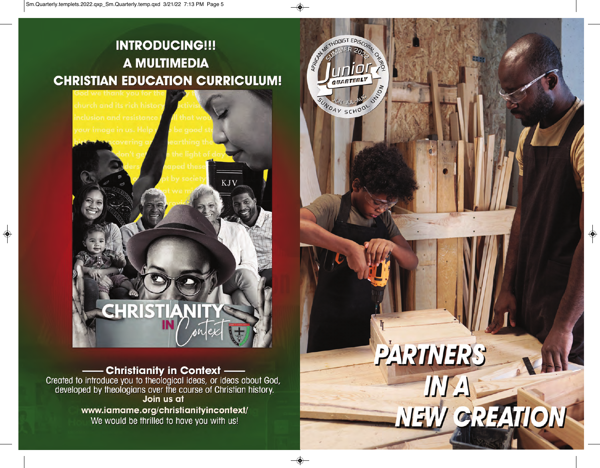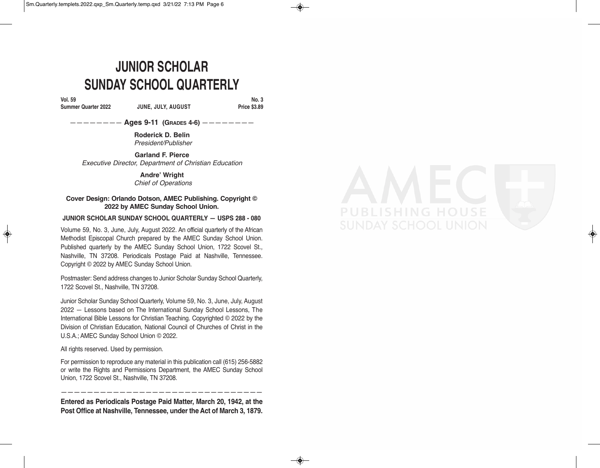## **JUNIOR SCHOLAR SUNDAY SCHOOL QUARTERLY**

**Vol. 59**

#### **Summer Quarter 2022 JUNE, JULY, AUGUST**

**No. 3 Price \$3.89** 

G

———————— **Ages 9-11 (GRADES 4-6)** ————————

**Roderick D. Belin** *President/Publisher*

**Garland F. Pierce** *Executive Director, Department of Christian Education*

> **Andre' Wright** *Chief of Operations*

#### **Cover Design: Orlando Dotson, AMEC Publishing. Copyright © 2022 by AMEC Sunday School Union.**

#### **JUNIOR SCHOLAR SUNDAY SCHOOL QUARTERLY — USPS 288 - 080**

Volume 59, No. 3, June, July, August 2022. An official quarterly of the African Methodist Episcopal Church prepared by the AMEC Sunday School Union. Published quarterly by the AMEC Sunday School Union, 1722 Scovel St., Nashville, TN 37208. Periodicals Postage Paid at Nashville, Tennessee. Copyright © 2022 by AMEC Sunday School Union.

Postmaster: Send address changes to Junior Scholar Sunday School Quarterly, 1722 Scovel St., Nashville, TN 37208.

Junior Scholar Sunday School Quarterly, Volume 59, No. 3, June, July, August 2022 — Lessons based on The International Sunday School Lessons, The International Bible Lessons for Christian Teaching. Copyrighted © 2022 by the Division of Christian Education, National Council of Churches of Christ in the U.S.A.; AMEC Sunday School Union © 2022.

All rights reserved. Used by permission.

For permission to reproduce any material in this publication call (615) 256-5882 or write the Rights and Permissions Department, the AMEC Sunday School Union, 1722 Scovel St., Nashville, TN 37208.

——————————————————————————————— **Entered as Periodicals Postage Paid Matter, March 20, 1942, at the Post Office at Nashville, Tennessee, under the Act of March 3, 1879.**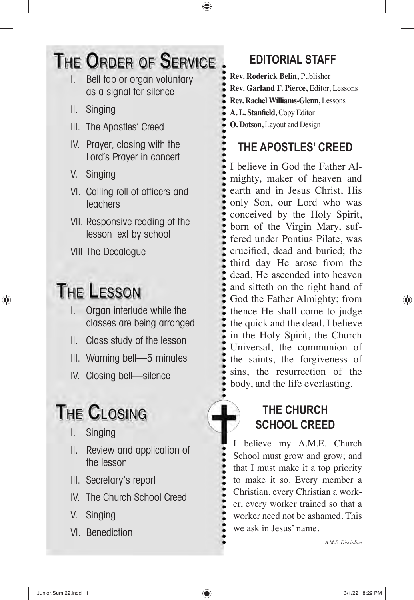## THE ORDER OF SERVICE

- I. Bell tap or organ voluntary as a signal for silence
- II. Singing
- III. The Apostles' Creed
- IV. Prayer, closing with the Lord's Prayer in concert
- V. Singing
- VI. Calling roll of officers and teachers
- VII. Responsive reading of the lesson text by school

VIII.The Decalogue

## **THE LESSON**

- I. Organ interlude while the classes are being arranged
- II. Class study of the lesson
- III. Warning bell—5 minutes
- IV. Closing bell—silence

# **THE CLOSING**

- I. Singing
- II. Review and application of the lesson
- III. Secretary's report
- IV. The Church School Creed
- V. Singing
- VI. Benediction

## **EDITORIAL STAFF**

**Rev. Roderick Belin,** Publisher **Rev. Garland F. Pierce,** Editor, Lessons **Rev. Rachel Williams-Glenn,** Lessons **A. L. Stanfield,** Copy Editor **O. Dotson,** Layout and Design

## **THE APOSTLES' CREED**

I believe in God the Father Almighty, maker of heaven and earth and in Jesus Christ, His only Son, our Lord who was conceived by the Holy Spirit, born of the Virgin Mary, suffered under Pontius Pilate, was crucified, dead and buried; the third day He arose from the dead, He ascended into heaven and sitteth on the right hand of God the Father Almighty; from thence He shall come to judge the quick and the dead. I believe in the Holy Spirit, the Church Universal, the communion of the saints, the forgiveness of sins, the resurrection of the body, and the life everlasting.

### **THE CHURCH SCHOOL CREED**

believe my A.M.E. Church School must grow and grow; and that I must make it a top priority to make it so. Every member a Christian, every Christian a worker, every worker trained so that a worker need not be ashamed. This we ask in Jesus' name.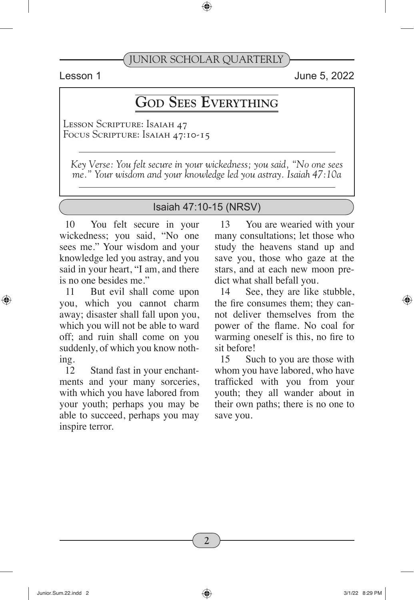Lesson 1 June 5, 2022

## **God Sees Everything**

Lesson Scripture: Isaiah 47 FOCUS SCRIPTURE: ISAIAH 47:10-15

*Key Verse: You felt secure in your wickedness; you said, "No one sees me." Your wisdom and your knowledge led you astray. Isaiah 47:10a*

#### Isaiah 47:10-15 (NRSV)

10 You felt secure in your wickedness; you said, "No one sees me." Your wisdom and your knowledge led you astray, and you said in your heart, "I am, and there is no one besides me."

11 But evil shall come upon you, which you cannot charm away; disaster shall fall upon you, which you will not be able to ward off; and ruin shall come on you suddenly, of which you know nothing.

12 Stand fast in your enchantments and your many sorceries, with which you have labored from your youth; perhaps you may be able to succeed, perhaps you may inspire terror.

13 You are wearied with your many consultations; let those who study the heavens stand up and save you, those who gaze at the stars, and at each new moon predict what shall befall you.

14 See, they are like stubble, the fire consumes them; they cannot deliver themselves from the power of the flame. No coal for warming oneself is this, no fire to sit before!

15 Such to you are those with whom you have labored, who have trafficked with you from your youth; they all wander about in their own paths; there is no one to save you.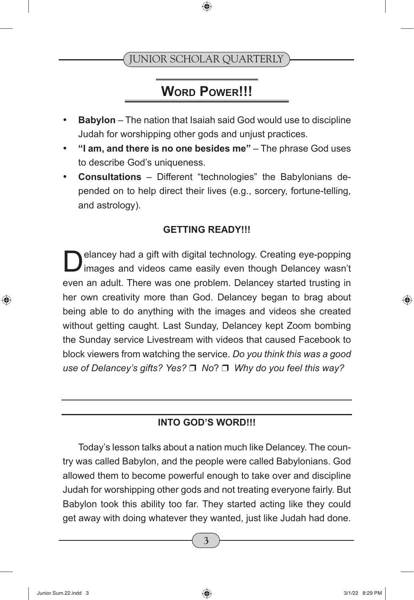## **WORD POWER!!!**

- • **Babylon** The nation that Isaiah said God would use to discipline Judah for worshipping other gods and unjust practices.
- • **"I am, and there is no one besides me"** The phrase God uses to describe God's uniqueness.
- **Consultations** Different "technologies" the Babylonians depended on to help direct their lives (e.g., sorcery, fortune-telling, and astrology).

#### **GETTING READY!!!**

Delancey had a gift with digital technology. Creating eye-popping images and videos came easily even though Delancey wasn't even an adult. There was one problem. Delancey started trusting in her own creativity more than God. Delancey began to brag about being able to do anything with the images and videos she created without getting caught. Last Sunday, Delancey kept Zoom bombing the Sunday service Livestream with videos that caused Facebook to block viewers from watching the service. *Do you think this was a good use of Delancey's gifts? Yes?* □ *No*? □ *Why do you feel this way?* 

#### **INTO GOD'S WORD!!!**

Today's lesson talks about a nation much like Delancey. The country was called Babylon, and the people were called Babylonians. God allowed them to become powerful enough to take over and discipline Judah for worshipping other gods and not treating everyone fairly. But Babylon took this ability too far. They started acting like they could get away with doing whatever they wanted, just like Judah had done.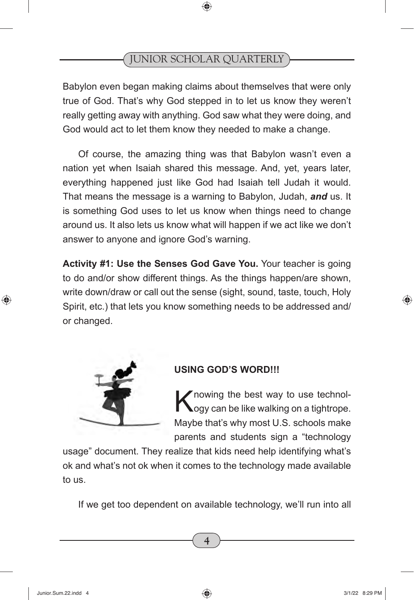Babylon even began making claims about themselves that were only true of God. That's why God stepped in to let us know they weren't really getting away with anything. God saw what they were doing, and God would act to let them know they needed to make a change.

Of course, the amazing thing was that Babylon wasn't even a nation yet when Isaiah shared this message. And, yet, years later, everything happened just like God had Isaiah tell Judah it would. That means the message is a warning to Babylon, Judah, *and* us. It is something God uses to let us know when things need to change around us. It also lets us know what will happen if we act like we don't answer to anyone and ignore God's warning.

**Activity #1: Use the Senses God Gave You.** Your teacher is going to do and/or show different things. As the things happen/are shown, write down/draw or call out the sense (sight, sound, taste, touch, Holy Spirit, etc.) that lets you know something needs to be addressed and/ or changed.



#### **USING GOD'S WORD!!!**

Knowing the best way to use technol-<br>Kogy can be like walking on a tightrope. Maybe that's why most U.S. schools make parents and students sign a "technology

usage" document. They realize that kids need help identifying what's ok and what's not ok when it comes to the technology made available to us.

If we get too dependent on available technology, we'll run into all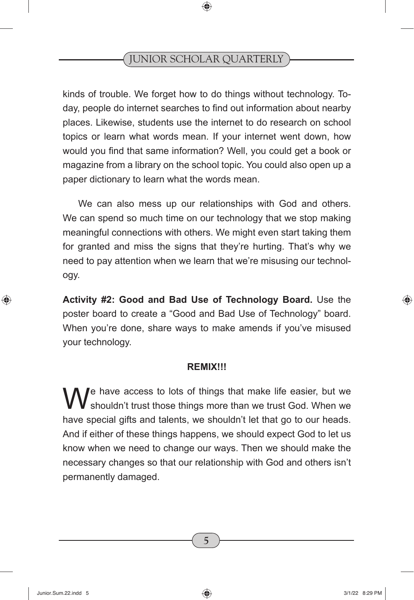kinds of trouble. We forget how to do things without technology. Today, people do internet searches to find out information about nearby places. Likewise, students use the internet to do research on school topics or learn what words mean. If your internet went down, how would you find that same information? Well, you could get a book or magazine from a library on the school topic. You could also open up a paper dictionary to learn what the words mean.

We can also mess up our relationships with God and others. We can spend so much time on our technology that we stop making meaningful connections with others. We might even start taking them for granted and miss the signs that they're hurting. That's why we need to pay attention when we learn that we're misusing our technology.

**Activity #2: Good and Bad Use of Technology Board.** Use the poster board to create a "Good and Bad Use of Technology" board. When you're done, share ways to make amends if you've misused your technology.

#### **REMIX!!!**

We have access to lots of things that make life easier, but we shouldn't trust those things more than we trust God. When we have special gifts and talents, we shouldn't let that go to our heads. And if either of these things happens, we should expect God to let us know when we need to change our ways. Then we should make the necessary changes so that our relationship with God and others isn't permanently damaged.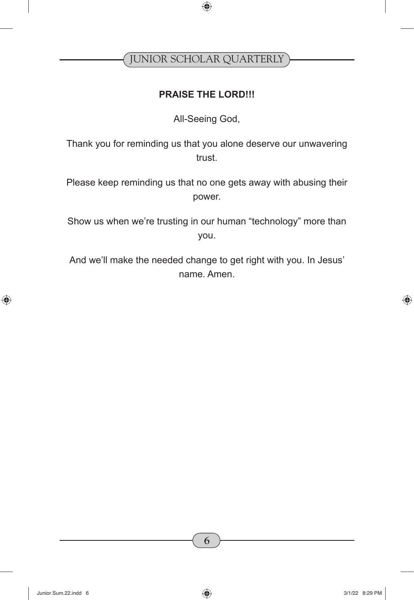#### **PRAISE THE LORD!!!**

All-Seeing God,

Thank you for reminding us that you alone deserve our unwavering trust.

Please keep reminding us that no one gets away with abusing their power.

Show us when we're trusting in our human "technology" more than you.

And we'll make the needed change to get right with you. In Jesus' name. Amen.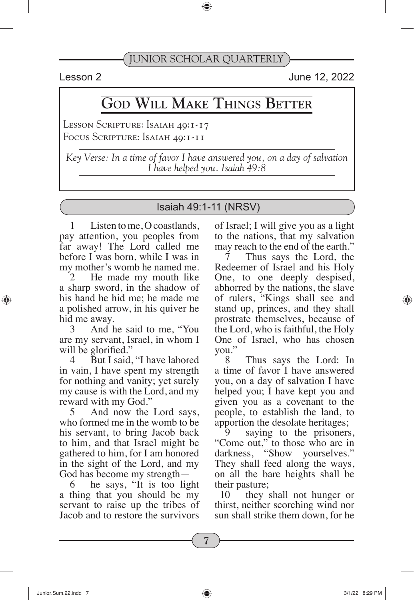Lesson 2 June 12, 2022

## **God Will Make Things Better**

LESSON SCRIPTURE: ISAIAH 49:1-17 Focus Scripture: Isaiah 49:1-11

*Key Verse: In a time of favor I have answered you, on a day of salvation I have helped you. Isaiah 49:8*

#### Isaiah 49:1-11 (NRSV)

1 Listen to me, O coastlands, pay attention, you peoples from far away! The Lord called me before I was born, while I was in my mother's womb he named me.

2 He made my mouth like a sharp sword, in the shadow of his hand he hid me; he made me a polished arrow, in his quiver he hid me away.

And he said to me, "You are my servant, Israel, in whom I will be glorified."

But I said, "I have labored in vain, I have spent my strength for nothing and vanity; yet surely my cause is with the Lord, and my reward with my God."

5 And now the Lord says, who formed me in the womb to be his servant, to bring Jacob back to him, and that Israel might be gathered to him, for I am honored in the sight of the Lord, and my God has become my strength—

6 he says, "It is too light a thing that you should be my servant to raise up the tribes of Jacob and to restore the survivors

of Israel; I will give you as a light to the nations, that my salvation may reach to the end of the earth."

Thus says the Lord, the Redeemer of Israel and his Holy One, to one deeply despised, abhorred by the nations, the slave of rulers, "Kings shall see and stand up, princes, and they shall prostrate themselves, because of the Lord, who is faithful, the Holy One of Israel, who has chosen you."

8 Thus says the Lord: In a time of favor I have answered you, on a day of salvation I have helped you; I have kept you and given you as a covenant to the people, to establish the land, to apportion the desolate heritages;

saying to the prisoners, "Come out," to those who are in darkness, "Show yourselves." They shall feed along the ways, on all the bare heights shall be their pasture;

10 they shall not hunger or thirst, neither scorching wind nor sun shall strike them down, for he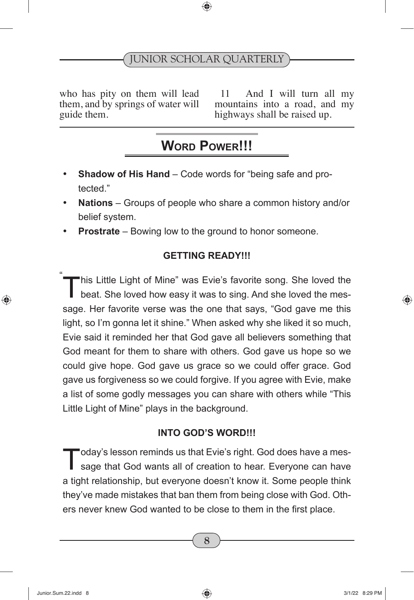who has pity on them will lead them, and by springs of water will guide them.

11 And I will turn all my mountains into a road, and my highways shall be raised up.

## **WORD POWER!!!**

- **Shadow of His Hand** Code words for "being safe and protected."
- **Nations** Groups of people who share a common history and/or belief system.
- **Prostrate** Bowing low to the ground to honor someone.

#### **GETTING READY!!!**

"his Little Light of Mine" was Evie's favorite song. She loved the beat. She loved how easy it was to sing. And she loved the message. Her favorite verse was the one that says, "God gave me this light, so I'm gonna let it shine." When asked why she liked it so much, Evie said it reminded her that God gave all believers something that God meant for them to share with others. God gave us hope so we could give hope. God gave us grace so we could offer grace. God gave us forgiveness so we could forgive. If you agree with Evie, make a list of some godly messages you can share with others while "This Little Light of Mine" plays in the background. "

#### **INTO GOD'S WORD!!!**

Today's lesson reminds us that Evie's right. God does have a mes-<br>sage that God wants all of creation to hear. Everyone can have a tight relationship, but everyone doesn't know it. Some people think they've made mistakes that ban them from being close with God. Others never knew God wanted to be close to them in the first place.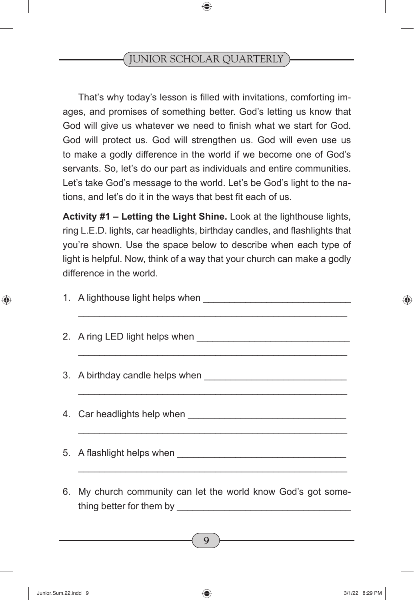That's why today's lesson is filled with invitations, comforting images, and promises of something better. God's letting us know that God will give us whatever we need to finish what we start for God. God will protect us. God will strengthen us. God will even use us to make a godly difference in the world if we become one of God's servants. So, let's do our part as individuals and entire communities. Let's take God's message to the world. Let's be God's light to the nations, and let's do it in the ways that best fit each of us.

**Activity #1 – Letting the Light Shine.** Look at the lighthouse lights, ring L.E.D. lights, car headlights, birthday candles, and flashlights that you're shown. Use the space below to describe when each type of light is helpful. Now, think of a way that your church can make a godly difference in the world.

| <u> 1989 - Johann John Harry Harry Harry Harry Harry Harry Harry Harry Harry Harry Harry Harry Harry Harry Harry</u> |
|----------------------------------------------------------------------------------------------------------------------|
|                                                                                                                      |
| 6. My church community can let the world know God's got some-                                                        |

thing better for them by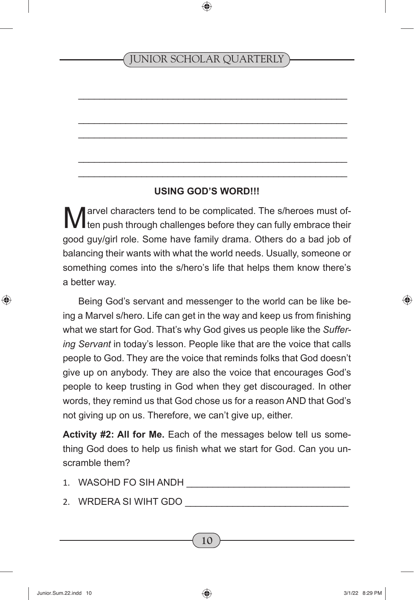\_\_\_\_\_\_\_\_\_\_\_\_\_\_\_\_\_\_\_\_\_\_\_\_\_\_\_\_\_\_\_\_\_\_\_\_\_\_\_\_\_\_\_\_\_\_\_\_\_\_\_

\_\_\_\_\_\_\_\_\_\_\_\_\_\_\_\_\_\_\_\_\_\_\_\_\_\_\_\_\_\_\_\_\_\_\_\_\_\_\_\_\_\_\_\_\_\_\_\_\_\_\_ \_\_\_\_\_\_\_\_\_\_\_\_\_\_\_\_\_\_\_\_\_\_\_\_\_\_\_\_\_\_\_\_\_\_\_\_\_\_\_\_\_\_\_\_\_\_\_\_\_\_\_

\_\_\_\_\_\_\_\_\_\_\_\_\_\_\_\_\_\_\_\_\_\_\_\_\_\_\_\_\_\_\_\_\_\_\_\_\_\_\_\_\_\_\_\_\_\_\_\_\_\_\_ \_\_\_\_\_\_\_\_\_\_\_\_\_\_\_\_\_\_\_\_\_\_\_\_\_\_\_\_\_\_\_\_\_\_\_\_\_\_\_\_\_\_\_\_\_\_\_\_\_\_\_

#### **USING GOD'S WORD!!!**

Marvel characters tend to be complicated. The s/heroes must of-<br>ten push through challenges before they can fully embrace their good guy/girl role. Some have family drama. Others do a bad job of balancing their wants with what the world needs. Usually, someone or something comes into the s/hero's life that helps them know there's a better way.

Being God's servant and messenger to the world can be like being a Marvel s/hero. Life can get in the way and keep us from finishing what we start for God. That's why God gives us people like the *Suffering Servant* in today's lesson. People like that are the voice that calls people to God. They are the voice that reminds folks that God doesn't give up on anybody. They are also the voice that encourages God's people to keep trusting in God when they get discouraged. In other words, they remind us that God chose us for a reason AND that God's not giving up on us. Therefore, we can't give up, either.

**Activity #2: All for Me.** Each of the messages below tell us something God does to help us finish what we start for God. Can you unscramble them?

- 1. WASOHD FO SIH ANDH
- 2. WRDERA SI WIHT GDO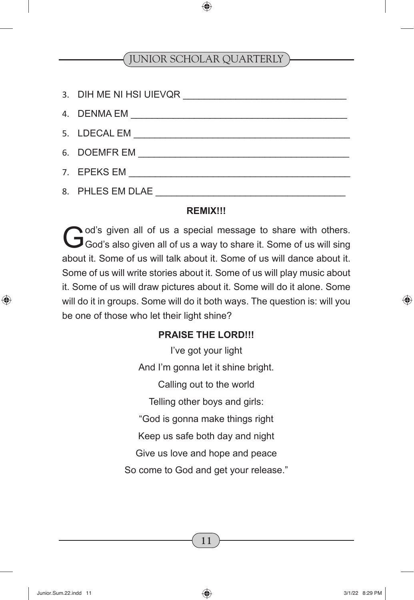| 8. PHLES EM DLAE |
|------------------|

#### **REMIX!!!**

God's given all of us a special message to share with others.<br>God's also given all of us a way to share it. Some of us will sing about it. Some of us will talk about it. Some of us will dance about it. Some of us will write stories about it. Some of us will play music about it. Some of us will draw pictures about it. Some will do it alone. Some will do it in groups. Some will do it both ways. The question is: will you be one of those who let their light shine?

#### **PRAISE THE LORD!!!**

I've got your light And I'm gonna let it shine bright. Calling out to the world Telling other boys and girls: "God is gonna make things right Keep us safe both day and night Give us love and hope and peace So come to God and get your release."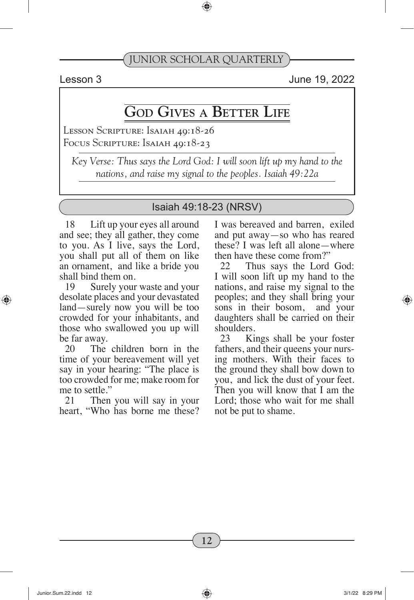Lesson 3 June 19, 2022

## **God Gives a Better Life**

Lesson Scripture: Isaiah 49:18-26 FOCUS SCRIPTURE: ISAIAH 49:18-23

*Key Verse: Thus says the Lord God: I will soon lift up my hand to the nations, and raise my signal to the peoples. Isaiah 49:22a*

#### Isaiah 49:18-23 (NRSV)

18 Lift up your eyes all around and see; they all gather, they come to you. As I live, says the Lord, you shall put all of them on like an ornament, and like a bride you shall bind them on.

19 Surely your waste and your desolate places and your devastated land—surely now you will be too crowded for your inhabitants, and those who swallowed you up will be far away.

20 The children born in the time of your bereavement will yet say in your hearing: "The place is too crowded for me; make room for me to settle."

21 Then you will say in your heart, "Who has borne me these? I was bereaved and barren, exiled and put away—so who has reared these? I was left all alone—where then have these come from?"

22 Thus says the Lord God: I will soon lift up my hand to the nations, and raise my signal to the peoples; and they shall bring your sons in their bosom, and your daughters shall be carried on their shoulders.

23 Kings shall be your foster fathers, and their queens your nursing mothers. With their faces to the ground they shall bow down to you, and lick the dust of your feet. Then you will know that I am the Lord; those who wait for me shall not be put to shame.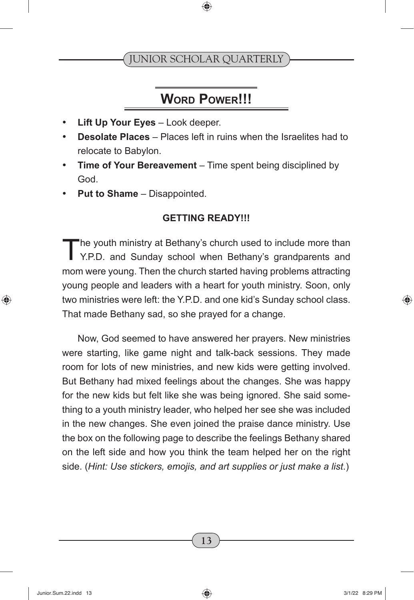## **WORD POWER!!!**

- **Lift Up Your Eves** Look deeper.
- **Desolate Places** Places left in ruins when the Israelites had to relocate to Babylon.
- **Time of Your Bereavement** Time spent being disciplined by God.
- **Put to Shame** Disappointed.

#### **GETTING READY!!!**

The youth ministry at Bethany's church used to include more than<br>Y.P.D. and Sunday school when Bethany's grandparents and mom were young. Then the church started having problems attracting young people and leaders with a heart for youth ministry. Soon, only two ministries were left: the Y.P.D. and one kid's Sunday school class. That made Bethany sad, so she prayed for a change.

Now, God seemed to have answered her prayers. New ministries were starting, like game night and talk-back sessions. They made room for lots of new ministries, and new kids were getting involved. But Bethany had mixed feelings about the changes. She was happy for the new kids but felt like she was being ignored. She said something to a youth ministry leader, who helped her see she was included in the new changes. She even joined the praise dance ministry. Use the box on the following page to describe the feelings Bethany shared on the left side and how you think the team helped her on the right side. (*Hint: Use stickers, emojis, and art supplies or just make a list*.)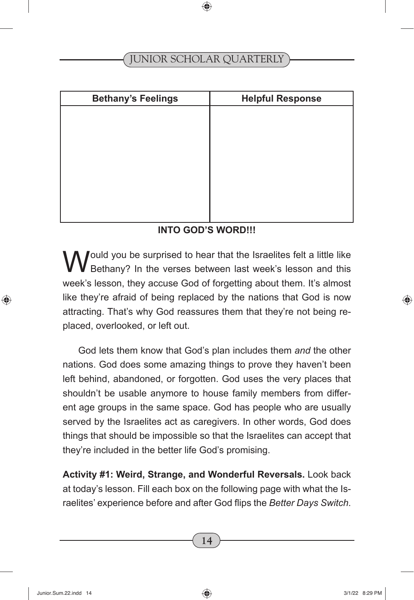| <b>Bethany's Feelings</b> | <b>Helpful Response</b> |
|---------------------------|-------------------------|
|                           |                         |
|                           |                         |
|                           |                         |
|                           |                         |
|                           |                         |
|                           |                         |
|                           |                         |
|                           |                         |

#### **INTO GOD'S WORD!!!**

Would you be surprised to hear that the Israelites felt a little like<br>Bethany? In the verses between last week's lesson and this week's lesson, they accuse God of forgetting about them. It's almost like they're afraid of being replaced by the nations that God is now attracting. That's why God reassures them that they're not being replaced, overlooked, or left out.

God lets them know that God's plan includes them *and* the other nations. God does some amazing things to prove they haven't been left behind, abandoned, or forgotten. God uses the very places that shouldn't be usable anymore to house family members from different age groups in the same space. God has people who are usually served by the Israelites act as caregivers. In other words, God does things that should be impossible so that the Israelites can accept that they're included in the better life God's promising.

**Activity #1: Weird, Strange, and Wonderful Reversals.** Look back at today's lesson. Fill each box on the following page with what the Israelites' experience before and after God flips the *Better Days Switch*.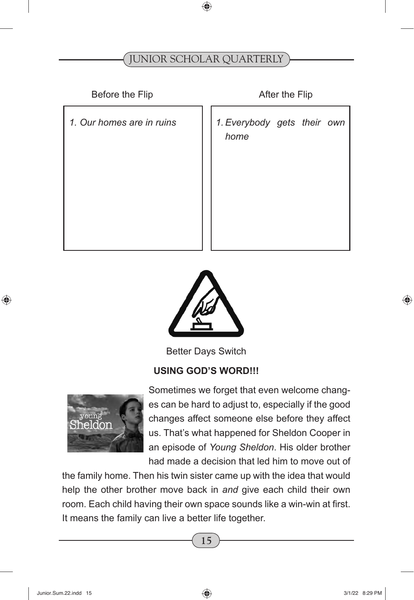Before the Flip After the Flip

1. Our homes are in ruins 1. Everybody gets their own *home*



Better Days Switch

#### **USING GOD'S WORD!!!**



Sometimes we forget that even welcome changes can be hard to adjust to, especially if the good changes affect someone else before they affect us. That's what happened for Sheldon Cooper in an episode of *Young Sheldon*. His older brother had made a decision that led him to move out of

the family home. Then his twin sister came up with the idea that would help the other brother move back in *and* give each child their own room. Each child having their own space sounds like a win-win at first. It means the family can live a better life together.